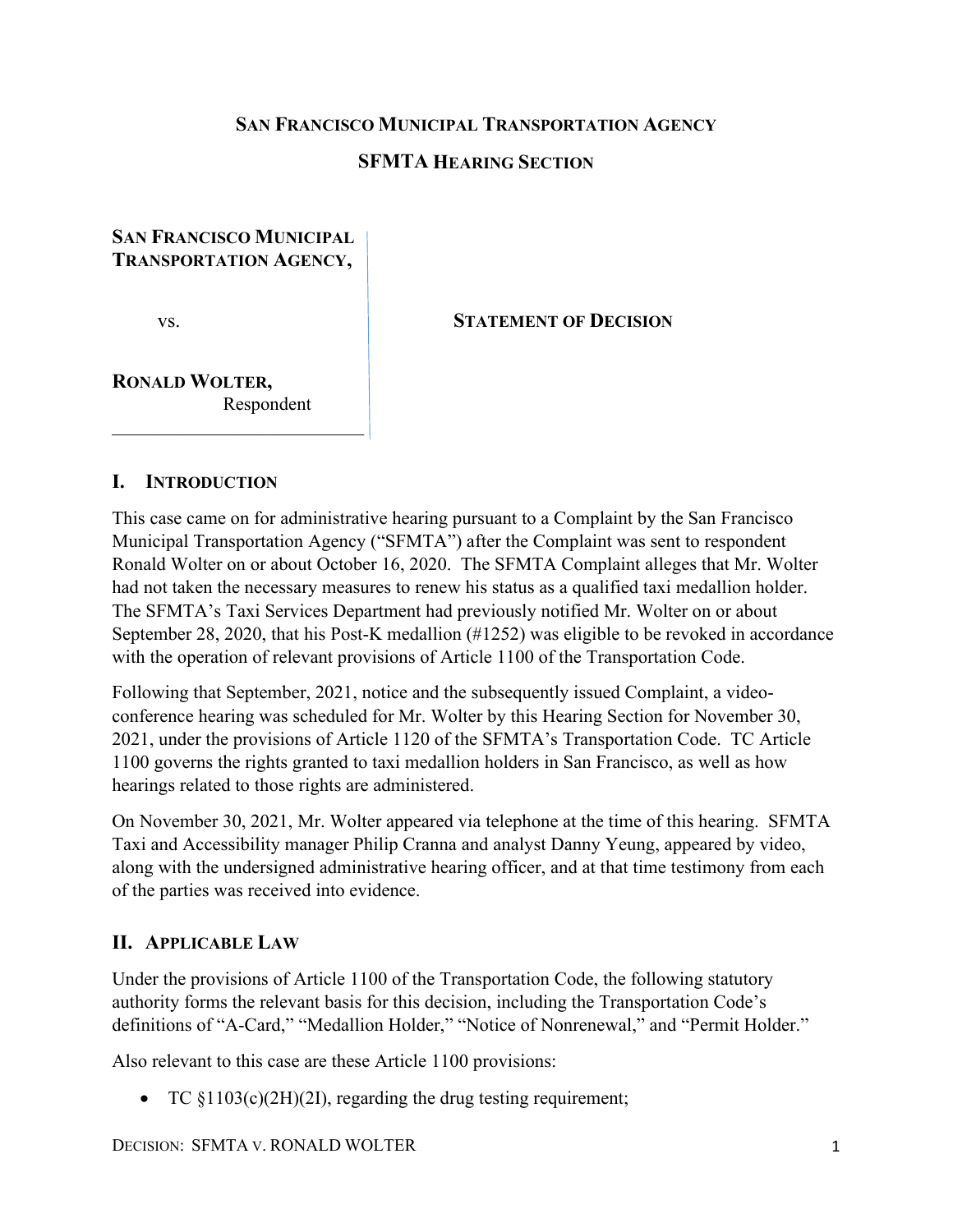#### **SAN FRANCISCO MUNICIPAL TRANSPORTATION AGENCY**

### **SFMTA HEARING SECTION**

### **SAN FRANCISCO MUNICIPAL TRANSPORTATION AGENCY,**

#### vs. **STATEMENT OF DECISION**

## **RONALD WOLTER,** Respondent

\_\_\_\_\_\_\_\_\_\_\_\_\_\_\_\_\_\_\_\_\_\_\_\_\_\_\_

#### **I. INTRODUCTION**

This case came on for administrative hearing pursuant to a Complaint by the San Francisco Municipal Transportation Agency ("SFMTA") after the Complaint was sent to respondent Ronald Wolter on or about October 16, 2020. The SFMTA Complaint alleges that Mr. Wolter had not taken the necessary measures to renew his status as a qualified taxi medallion holder. The SFMTA's Taxi Services Department had previously notified Mr. Wolter on or about September 28, 2020, that his Post-K medallion (#1252) was eligible to be revoked in accordance with the operation of relevant provisions of Article 1100 of the Transportation Code.

Following that September, 2021, notice and the subsequently issued Complaint, a videoconference hearing was scheduled for Mr. Wolter by this Hearing Section for November 30, 2021, under the provisions of Article 1120 of the SFMTA's Transportation Code. TC Article 1100 governs the rights granted to taxi medallion holders in San Francisco, as well as how hearings related to those rights are administered.

On November 30, 2021, Mr. Wolter appeared via telephone at the time of this hearing. SFMTA Taxi and Accessibility manager Philip Cranna and analyst Danny Yeung, appeared by video, along with the undersigned administrative hearing officer, and at that time testimony from each of the parties was received into evidence.

#### **II. APPLICABLE LAW**

Under the provisions of Article 1100 of the Transportation Code, the following statutory authority forms the relevant basis for this decision, including the Transportation Code's definitions of "A-Card," "Medallion Holder," "Notice of Nonrenewal," and "Permit Holder."

Also relevant to this case are these Article 1100 provisions:

• TC  $$1103(c)(2H)(2I)$ , regarding the drug testing requirement;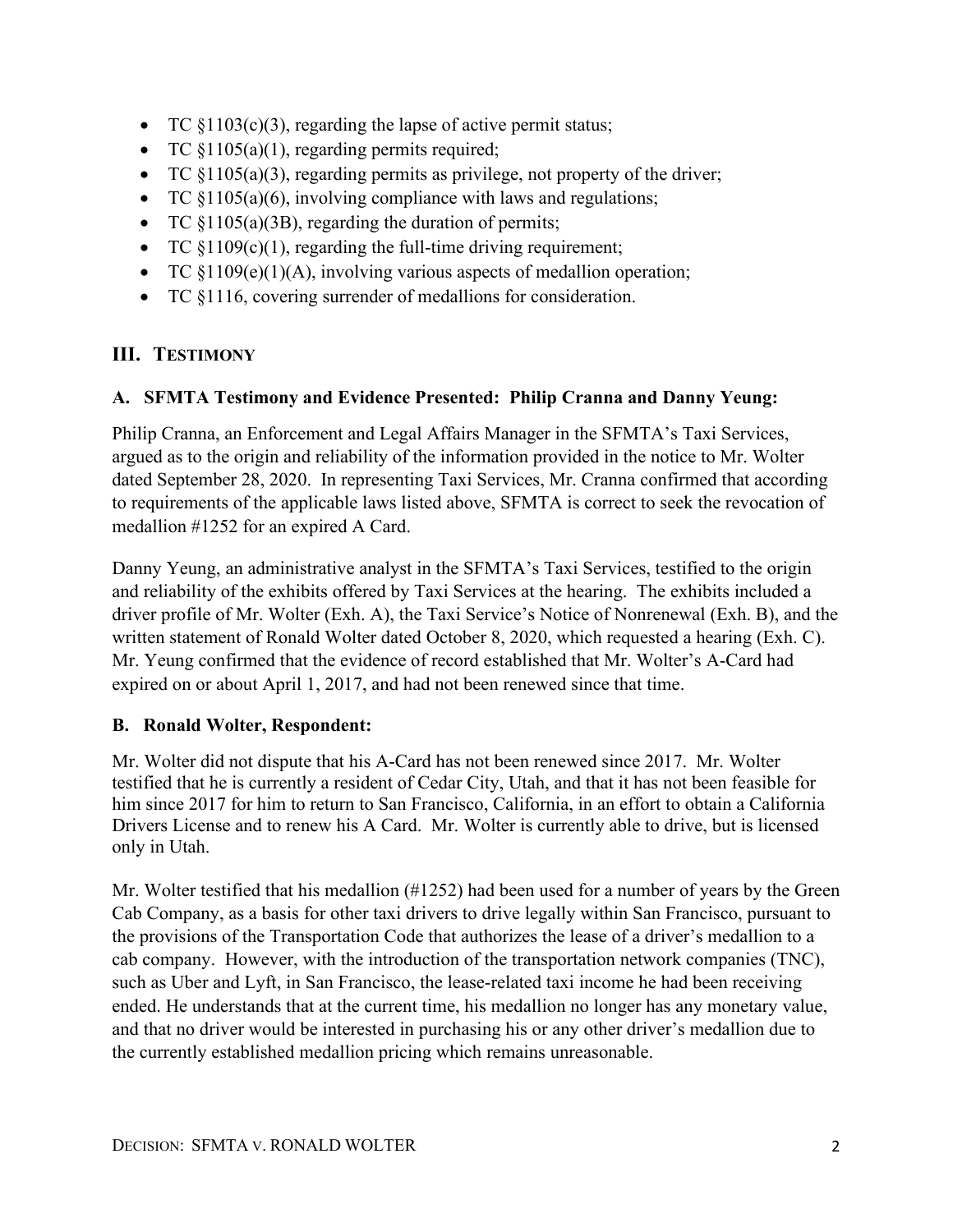- TC  $\S1103(c)(3)$ , regarding the lapse of active permit status;
- TC  $$1105(a)(1)$ , regarding permits required;
- TC §1105(a)(3), regarding permits as privilege, not property of the driver;
- TC  $§1105(a)(6)$ , involving compliance with laws and regulations;
- TC  $$1105(a)(3B)$ , regarding the duration of permits;
- TC  $\S1109(c)(1)$ , regarding the full-time driving requirement;
- TC §1109(e)(1)(A), involving various aspects of medallion operation;
- TC §1116, covering surrender of medallions for consideration.

# **III. TESTIMONY**

## **A. SFMTA Testimony and Evidence Presented: Philip Cranna and Danny Yeung:**

Philip Cranna, an Enforcement and Legal Affairs Manager in the SFMTA's Taxi Services, argued as to the origin and reliability of the information provided in the notice to Mr. Wolter dated September 28, 2020. In representing Taxi Services, Mr. Cranna confirmed that according to requirements of the applicable laws listed above, SFMTA is correct to seek the revocation of medallion #1252 for an expired A Card.

Danny Yeung, an administrative analyst in the SFMTA's Taxi Services, testified to the origin and reliability of the exhibits offered by Taxi Services at the hearing. The exhibits included a driver profile of Mr. Wolter (Exh. A), the Taxi Service's Notice of Nonrenewal (Exh. B), and the written statement of Ronald Wolter dated October 8, 2020, which requested a hearing (Exh. C). Mr. Yeung confirmed that the evidence of record established that Mr. Wolter's A-Card had expired on or about April 1, 2017, and had not been renewed since that time.

## **B. Ronald Wolter, Respondent:**

Mr. Wolter did not dispute that his A-Card has not been renewed since 2017. Mr. Wolter testified that he is currently a resident of Cedar City, Utah, and that it has not been feasible for him since 2017 for him to return to San Francisco, California, in an effort to obtain a California Drivers License and to renew his A Card. Mr. Wolter is currently able to drive, but is licensed only in Utah.

Mr. Wolter testified that his medallion (#1252) had been used for a number of years by the Green Cab Company, as a basis for other taxi drivers to drive legally within San Francisco, pursuant to the provisions of the Transportation Code that authorizes the lease of a driver's medallion to a cab company. However, with the introduction of the transportation network companies (TNC), such as Uber and Lyft, in San Francisco, the lease-related taxi income he had been receiving ended. He understands that at the current time, his medallion no longer has any monetary value, and that no driver would be interested in purchasing his or any other driver's medallion due to the currently established medallion pricing which remains unreasonable.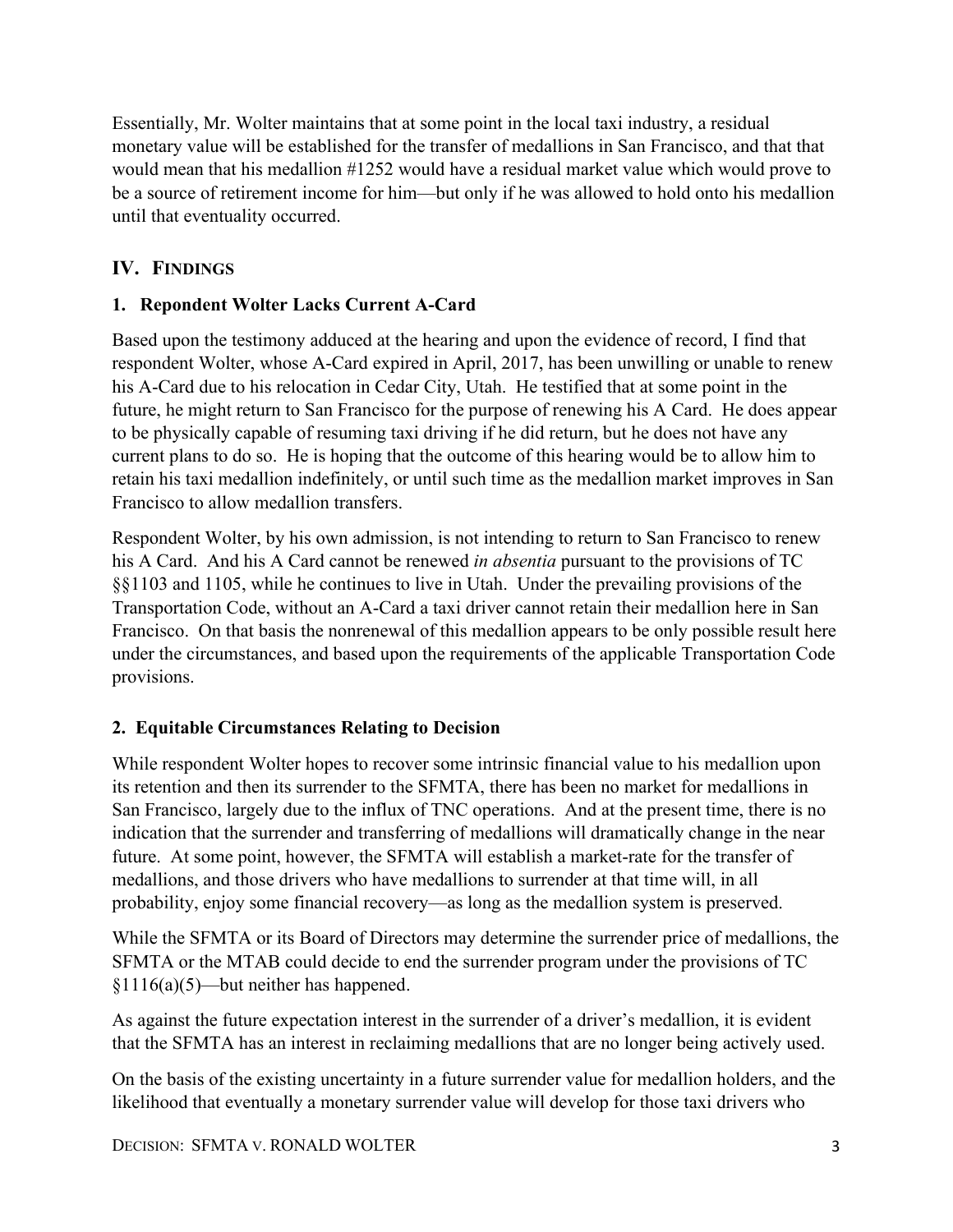Essentially, Mr. Wolter maintains that at some point in the local taxi industry, a residual monetary value will be established for the transfer of medallions in San Francisco, and that that would mean that his medallion #1252 would have a residual market value which would prove to be a source of retirement income for him—but only if he was allowed to hold onto his medallion until that eventuality occurred.

# **IV. FINDINGS**

### **1. Repondent Wolter Lacks Current A-Card**

Based upon the testimony adduced at the hearing and upon the evidence of record, I find that respondent Wolter, whose A-Card expired in April, 2017, has been unwilling or unable to renew his A-Card due to his relocation in Cedar City, Utah. He testified that at some point in the future, he might return to San Francisco for the purpose of renewing his A Card. He does appear to be physically capable of resuming taxi driving if he did return, but he does not have any current plans to do so. He is hoping that the outcome of this hearing would be to allow him to retain his taxi medallion indefinitely, or until such time as the medallion market improves in San Francisco to allow medallion transfers.

Respondent Wolter, by his own admission, is not intending to return to San Francisco to renew his A Card. And his A Card cannot be renewed *in absentia* pursuant to the provisions of TC §§1103 and 1105, while he continues to live in Utah. Under the prevailing provisions of the Transportation Code, without an A-Card a taxi driver cannot retain their medallion here in San Francisco. On that basis the nonrenewal of this medallion appears to be only possible result here under the circumstances, and based upon the requirements of the applicable Transportation Code provisions.

### **2. Equitable Circumstances Relating to Decision**

While respondent Wolter hopes to recover some intrinsic financial value to his medallion upon its retention and then its surrender to the SFMTA, there has been no market for medallions in San Francisco, largely due to the influx of TNC operations. And at the present time, there is no indication that the surrender and transferring of medallions will dramatically change in the near future. At some point, however, the SFMTA will establish a market-rate for the transfer of medallions, and those drivers who have medallions to surrender at that time will, in all probability, enjoy some financial recovery—as long as the medallion system is preserved.

While the SFMTA or its Board of Directors may determine the surrender price of medallions, the SFMTA or the MTAB could decide to end the surrender program under the provisions of TC §1116(a)(5)—but neither has happened.

As against the future expectation interest in the surrender of a driver's medallion, it is evident that the SFMTA has an interest in reclaiming medallions that are no longer being actively used.

On the basis of the existing uncertainty in a future surrender value for medallion holders, and the likelihood that eventually a monetary surrender value will develop for those taxi drivers who